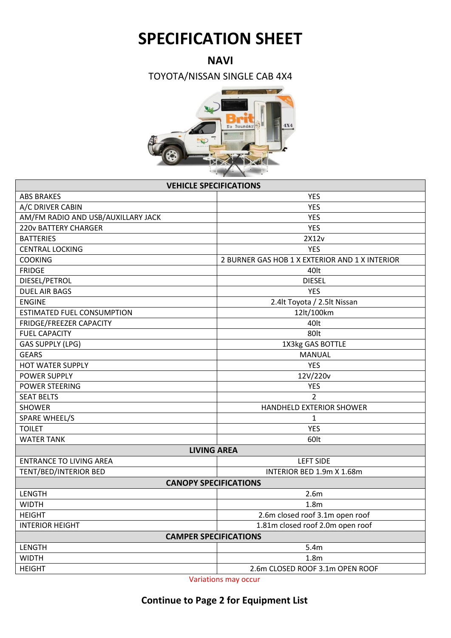## **SPECIFICATION SHEET**

## **NAVI**

TOYOTA/NISSAN SINGLE CAB 4X4



| <b>VEHICLE SPECIFICATIONS</b>      |                                                |  |  |
|------------------------------------|------------------------------------------------|--|--|
| <b>ABS BRAKES</b>                  | <b>YES</b>                                     |  |  |
| A/C DRIVER CABIN                   | <b>YES</b>                                     |  |  |
| AM/FM RADIO AND USB/AUXILLARY JACK | <b>YES</b>                                     |  |  |
| <b>220v BATTERY CHARGER</b>        | <b>YES</b>                                     |  |  |
| <b>BATTERIES</b>                   | 2X12v                                          |  |  |
| <b>CENTRAL LOCKING</b>             | <b>YES</b>                                     |  |  |
| <b>COOKING</b>                     | 2 BURNER GAS HOB 1 X EXTERIOR AND 1 X INTERIOR |  |  |
| <b>FRIDGE</b>                      | 40lt                                           |  |  |
| DIESEL/PETROL                      | <b>DIESEL</b>                                  |  |  |
| <b>DUEL AIR BAGS</b>               | <b>YES</b>                                     |  |  |
| <b>ENGINE</b>                      | 2.4lt Toyota / 2.5lt Nissan                    |  |  |
| <b>ESTIMATED FUEL CONSUMPTION</b>  | 12lt/100km                                     |  |  |
| FRIDGE/FREEZER CAPACITY            | 40lt                                           |  |  |
| <b>FUEL CAPACITY</b>               | 80lt                                           |  |  |
| <b>GAS SUPPLY (LPG)</b>            | 1X3kg GAS BOTTLE                               |  |  |
| <b>GEARS</b>                       | <b>MANUAL</b>                                  |  |  |
| <b>HOT WATER SUPPLY</b>            | <b>YES</b>                                     |  |  |
| <b>POWER SUPPLY</b>                | 12V/220v                                       |  |  |
| <b>POWER STEERING</b>              | <b>YES</b>                                     |  |  |
| <b>SEAT BELTS</b>                  | $\overline{2}$                                 |  |  |
| <b>SHOWER</b>                      | HANDHELD EXTERIOR SHOWER                       |  |  |
| SPARE WHEEL/S                      | $\mathbf{1}$                                   |  |  |
| <b>TOILET</b>                      | <b>YES</b>                                     |  |  |
| <b>WATER TANK</b>                  | 60lt                                           |  |  |
| <b>LIVING AREA</b>                 |                                                |  |  |
| <b>ENTRANCE TO LIVING AREA</b>     | <b>LEFT SIDE</b>                               |  |  |
| TENT/BED/INTERIOR BED              | INTERIOR BED 1.9m X 1.68m                      |  |  |
| <b>CANOPY SPECIFICATIONS</b>       |                                                |  |  |
| LENGTH                             | 2.6m                                           |  |  |
| <b>WIDTH</b>                       | 1.8 <sub>m</sub>                               |  |  |
| <b>HEIGHT</b>                      | 2.6m closed roof 3.1m open roof                |  |  |
| <b>INTERIOR HEIGHT</b>             | 1.81m closed roof 2.0m open roof               |  |  |
| <b>CAMPER SPECIFICATIONS</b>       |                                                |  |  |
| LENGTH                             | 5.4m                                           |  |  |
| <b>WIDTH</b>                       | 1.8 <sub>m</sub>                               |  |  |
| <b>HEIGHT</b>                      | 2.6m CLOSED ROOF 3.1m OPEN ROOF                |  |  |

Variations may occur

## **Continue to Page 2 for Equipment List**